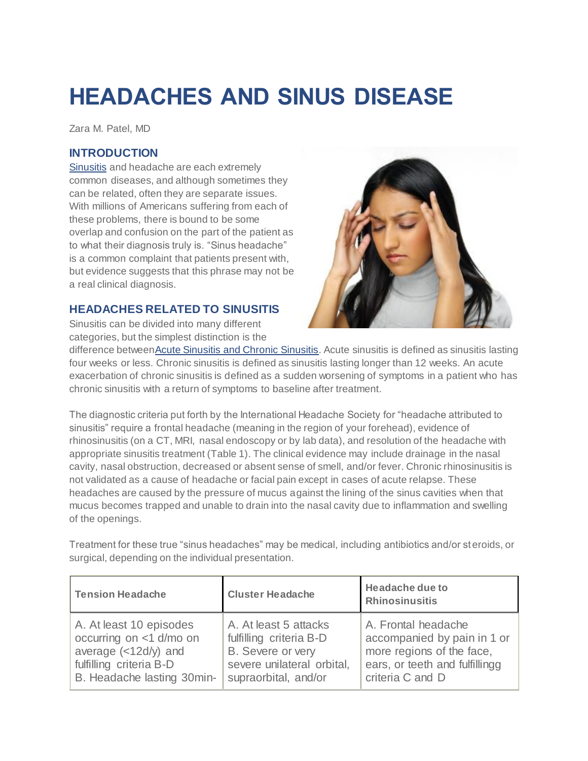# **HEADACHES AND SINUS DISEASE**

Zara M. Patel, MD

### **INTRODUCTION**

[Sinusitis](http://care.american-rhinologic.org/adult_sinusitis) and headache are each extremely common diseases, and although sometimes they can be related, often they are separate issues. With millions of Americans suffering from each of these problems, there is bound to be some overlap and confusion on the part of the patient as to what their diagnosis truly is. "Sinus headache" is a common complaint that patients present with, but evidence suggests that this phrase may not be a real clinical diagnosis.

#### **HEADACHES RELATED TO SINUSITIS**

Sinusitis can be divided into many different categories, but the simplest distinction is the



difference between Acute Sinusitis and Chronic Sinusitis. Acute sinusitis is defined as sinusitis lasting four weeks or less. Chronic sinusitis is defined as sinusitis lasting longer than 12 weeks. An acute exacerbation of chronic sinusitis is defined as a sudden worsening of symptoms in a patient who has chronic sinusitis with a return of symptoms to baseline after treatment.

The diagnostic criteria put forth by the International Headache Society for "headache attributed to sinusitis" require a frontal headache (meaning in the region of your forehead), evidence of rhinosinusitis (on a CT, MRI, nasal endoscopy or by lab data), and resolution of the headache with appropriate sinusitis treatment (Table 1). The clinical evidence may include drainage in the nasal cavity, nasal obstruction, decreased or absent sense of smell, and/or fever. Chronic rhinosinusitis is not validated as a cause of headache or facial pain except in cases of acute relapse. These headaches are caused by the pressure of mucus against the lining of the sinus cavities when that mucus becomes trapped and unable to drain into the nasal cavity due to inflammation and swelling of the openings.

Treatment for these true "sinus headaches" may be medical, including antibiotics and/or steroids, or surgical, depending on the individual presentation.

| <b>Tension Headache</b>                                   | <b>Cluster Headache</b>    | <b>Headache due to</b><br><b>Rhinosinusitis</b> |
|-----------------------------------------------------------|----------------------------|-------------------------------------------------|
| A. At least 10 episodes                                   | A. At least 5 attacks      | A. Frontal headache                             |
| occurring on <1 d/mo on                                   | fulfilling criteria B-D    | accompanied by pain in 1 or                     |
| average $\left\langle \langle 12d/y \rangle \right\}$ and | B. Severe or very          | more regions of the face,                       |
| fulfilling criteria B-D                                   | severe unilateral orbital, | ears, or teeth and fulfillingg                  |
| B. Headache lasting 30min-                                | supraorbital, and/or       | criteria C and D                                |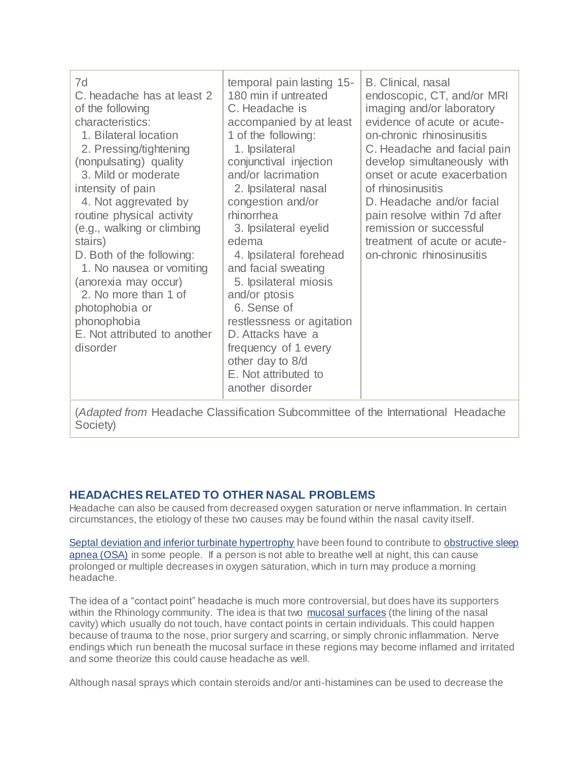| 7d<br>C, headache has at least 2<br>of the following<br>characteristics:<br>1. Bilateral location<br>2. Pressing/tightening<br>(nonpulsating) quality<br>3. Mild or moderate<br>intensity of pain<br>4. Not aggrevated by<br>routine physical activity<br>(e.g., walking or climbing<br>stairs)<br>D. Both of the following:<br>1. No nausea or vomiting<br>(anorexia may occur)<br>2. No more than 1 of<br>photophobia or<br>phonophobia<br>E. Not attributed to another<br>disorder<br>(Adopted from Headache Classification Cubesmpittee of the International Headache | temporal pain lasting 15-<br>180 min if untreated<br>C. Headache is<br>accompanied by at least<br>1 of the following:<br>1. Ipsilateral<br>conjunctival injection<br>and/or lacrimation<br>2. Ipsilateral nasal<br>congestion and/or<br>rhinorrhea<br>3. Ipsilateral eyelid<br>edema<br>4. Ipsilateral forehead<br>and facial sweating<br>5. Ipsilateral miosis<br>and/or ptosis<br>6. Sense of<br>restlessness or agitation<br>D. Attacks have a<br>frequency of 1 every<br>other day to 8/d<br>E. Not attributed to<br>another disorder | B. Clinical, nasal<br>endoscopic, CT, and/or MRI<br>imaging and/or laboratory<br>evidence of acute or acute-<br>on-chronic rhinosinusitis<br>C. Headache and facial pain<br>develop simultaneously with<br>onset or acute exacerbation<br>of rhinosinusitis<br>D. Headache and/or facial<br>pain resolve within 7d after<br>remission or successful<br>treatment of acute or acute-<br>on-chronic rhinosinusitis |
|---------------------------------------------------------------------------------------------------------------------------------------------------------------------------------------------------------------------------------------------------------------------------------------------------------------------------------------------------------------------------------------------------------------------------------------------------------------------------------------------------------------------------------------------------------------------------|-------------------------------------------------------------------------------------------------------------------------------------------------------------------------------------------------------------------------------------------------------------------------------------------------------------------------------------------------------------------------------------------------------------------------------------------------------------------------------------------------------------------------------------------|------------------------------------------------------------------------------------------------------------------------------------------------------------------------------------------------------------------------------------------------------------------------------------------------------------------------------------------------------------------------------------------------------------------|
|---------------------------------------------------------------------------------------------------------------------------------------------------------------------------------------------------------------------------------------------------------------------------------------------------------------------------------------------------------------------------------------------------------------------------------------------------------------------------------------------------------------------------------------------------------------------------|-------------------------------------------------------------------------------------------------------------------------------------------------------------------------------------------------------------------------------------------------------------------------------------------------------------------------------------------------------------------------------------------------------------------------------------------------------------------------------------------------------------------------------------------|------------------------------------------------------------------------------------------------------------------------------------------------------------------------------------------------------------------------------------------------------------------------------------------------------------------------------------------------------------------------------------------------------------------|

(*Adapted from* Headache Classification Subcommittee of the International Headache Society)

### **HEADACHES RELATED TO OTHER NASAL PROBLEMS**

Headache can also be caused from decreased oxygen saturation or nerve inflammation. In certain circumstances, the etiology of these two causes may be found within the nasal cavity itself.

[Septal deviation and inferior turbinate hypertrophy](http://care.american-rhinologic.org/septoplasty_turbinates) have been found to contribute to obstructive sleep [apnea \(OSA\)](http://care.american-rhinologic.org/snoring_nasal_congestion) in some people. If a person is not able to breathe well at night, this can cause prolonged or multiple decreases in oxygen saturation, which in turn may produce a morning headache.

The idea of a "contact point" headache is much more controversial, but does have its supporters within the Rhinology community. The idea is that two [mucosal surfaces](http://care.american-rhinologic.org/nasal_physiology) (the lining of the nasal cavity) which usually do not touch, have contact points in certain individuals. This could happen because of trauma to the nose, prior surgery and scarring, or simply chronic inflammation. Nerve endings which run beneath the mucosal surface in these regions may become inflamed and irritated and some theorize this could cause headache as well.

Although nasal sprays which contain steroids and/or anti-histamines can be used to decrease the